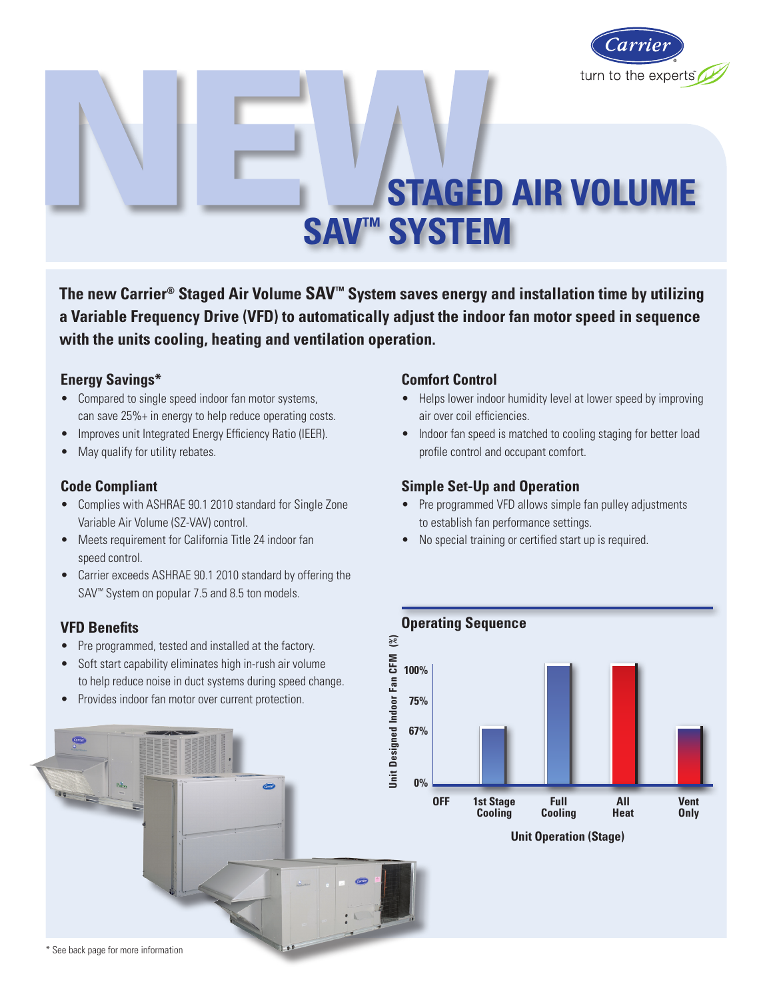

# **STAGED AIR VOLUME SAV™ SYSTEM**

**The new Carrier® Staged Air Volume SAV™ System saves energy and installation time by utilizing a Variable Frequency Drive (VFD) to automatically adjust the indoor fan motor speed in sequence with the units cooling, heating and ventilation operation.**

### **Energy Savings\***

- Compared to single speed indoor fan motor systems, can save 25%+ in energy to help reduce operating costs.
- Improves unit Integrated Energy Efficiency Ratio (IEER).
- May qualify for utility rebates.

### **Code Compliant**

- Complies with ASHRAE 90.1 2010 standard for Single Zone Variable Air Volume (SZ-VAV) control.
- Meets requirement for California Title 24 indoor fan speed control.
- Carrier exceeds ASHRAE 90.1 2010 standard by offering the SAV<sup>™</sup> System on popular 7.5 and 8.5 ton models.

### **VFD Benefits**

- Pre programmed, tested and installed at the factory.
- Soft start capability eliminates high in-rush air volume to help reduce noise in duct systems during speed change.
- • Provides indoor fan motor over current protection.

# **67% 0%**

### **Comfort Control**

- Helps lower indoor humidity level at lower speed by improving air over coil efficiencies.
- Indoor fan speed is matched to cooling staging for better load profile control and occupant comfort.

### **Simple Set-Up and Operation**

- Pre programmed VFD allows simple fan pulley adjustments to establish fan performance settings.
- No special training or certified start up is required.



**Unit Operation (Stage)**

\* See back page for more information